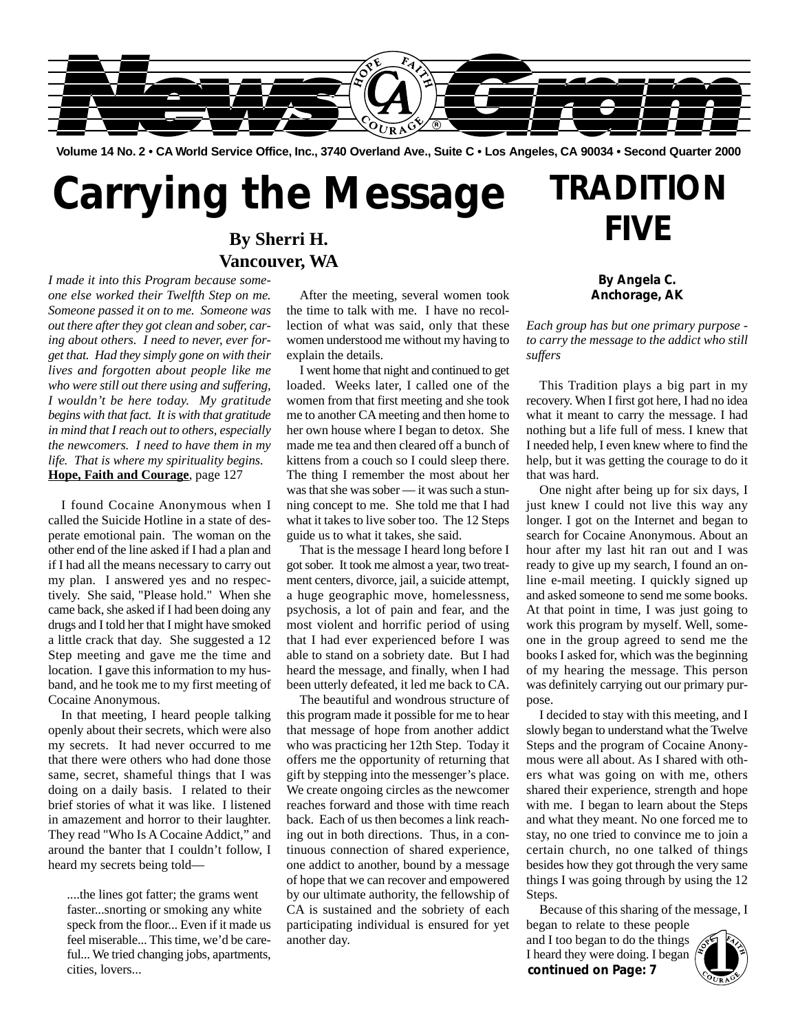

**Volume 14 No. 2 • CA World Service Office, Inc., 3740 Overland Ave., Suite C • Los Angeles, CA 90034 • Second Quarter 2000**

# **Carrying the Message**

### **By Sherri H. Vancouver, WA**

*I made it into this Program because someone else worked their Twelfth Step on me. Someone passed it on to me. Someone was out there after they got clean and sober, caring about others. I need to never, ever forget that. Had they simply gone on with their lives and forgotten about people like me who were still out there using and suffering, I wouldn't be here today. My gratitude begins with that fact. It is with that gratitude in mind that I reach out to others, especially the newcomers. I need to have them in my life. That is where my spirituality begins.* **Hope, Faith and Courage**, page 127

I found Cocaine Anonymous when I called the Suicide Hotline in a state of desperate emotional pain. The woman on the other end of the line asked if I had a plan and if I had all the means necessary to carry out my plan. I answered yes and no respectively. She said, "Please hold." When she came back, she asked if I had been doing any drugs and I told her that I might have smoked a little crack that day. She suggested a 12 Step meeting and gave me the time and location. I gave this information to my husband, and he took me to my first meeting of Cocaine Anonymous.

In that meeting, I heard people talking openly about their secrets, which were also my secrets. It had never occurred to me that there were others who had done those same, secret, shameful things that I was doing on a daily basis. I related to their brief stories of what it was like. I listened in amazement and horror to their laughter. They read "Who Is A Cocaine Addict," and around the banter that I couldn't follow, I heard my secrets being told—

....the lines got fatter; the grams went faster...snorting or smoking any white speck from the floor... Even if it made us feel miserable... This time, we'd be careful... We tried changing jobs, apartments, cities, lovers...

After the meeting, several women took the time to talk with me. I have no recollection of what was said, only that these women understood me without my having to explain the details.

I went home that night and continued to get loaded. Weeks later, I called one of the women from that first meeting and she took me to another CA meeting and then home to her own house where I began to detox. She made me tea and then cleared off a bunch of kittens from a couch so I could sleep there. The thing I remember the most about her was that she was sober — it was such a stunning concept to me. She told me that I had what it takes to live sober too. The 12 Steps guide us to what it takes, she said.

That is the message I heard long before I got sober. It took me almost a year, two treatment centers, divorce, jail, a suicide attempt, a huge geographic move, homelessness, psychosis, a lot of pain and fear, and the most violent and horrific period of using that I had ever experienced before I was able to stand on a sobriety date. But I had heard the message, and finally, when I had been utterly defeated, it led me back to CA.

The beautiful and wondrous structure of this program made it possible for me to hear that message of hope from another addict who was practicing her 12th Step. Today it offers me the opportunity of returning that gift by stepping into the messenger's place. We create ongoing circles as the newcomer reaches forward and those with time reach back. Each of us then becomes a link reaching out in both directions. Thus, in a continuous connection of shared experience, one addict to another, bound by a message of hope that we can recover and empowered by our ultimate authority, the fellowship of CA is sustained and the sobriety of each participating individual is ensured for yet another day.

### **By Angela C. Anchorage, AK**

**TRADITION**

**FIVE**

*Each group has but one primary purpose to carry the message to the addict who still suffers*

This Tradition plays a big part in my recovery. When I first got here, I had no idea what it meant to carry the message. I had nothing but a life full of mess. I knew that I needed help, I even knew where to find the help, but it was getting the courage to do it that was hard.

One night after being up for six days, I just knew I could not live this way any longer. I got on the Internet and began to search for Cocaine Anonymous. About an hour after my last hit ran out and I was ready to give up my search, I found an online e-mail meeting. I quickly signed up and asked someone to send me some books. At that point in time, I was just going to work this program by myself. Well, someone in the group agreed to send me the books I asked for, which was the beginning of my hearing the message. This person was definitely carrying out our primary purpose.

I decided to stay with this meeting, and I slowly began to understand what the Twelve Steps and the program of Cocaine Anonymous were all about. As I shared with others what was going on with me, others shared their experience, strength and hope with me. I began to learn about the Steps and what they meant. No one forced me to stay, no one tried to convince me to join a certain church, no one talked of things besides how they got through the very same things I was going through by using the 12 Steps.

Because of this sharing of the message, I

began to relate to these people and I too began to do the things I heard they were doing. I began **continued on Page: 7**<br>**1 heard they were doing. I began**<br>**continued on Page: 7** 

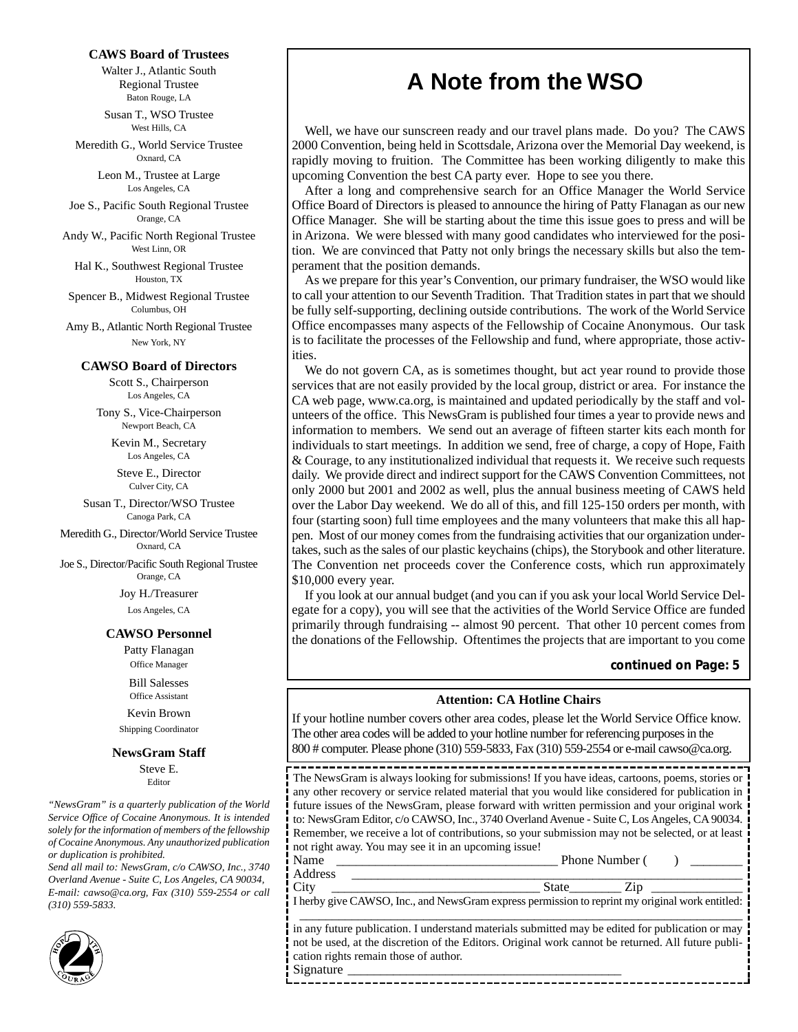#### **CAWS Board of Trustees**

Walter J., Atlantic South Regional Trustee Baton Rouge, LA

Susan T., WSO Trustee West Hills, CA

Meredith G., World Service Trustee Oxnard, CA

> Leon M., Trustee at Large Los Angeles, CA

Joe S., Pacific South Regional Trustee Orange, CA

Andy W., Pacific North Regional Trustee West Linn, OR

Hal K., Southwest Regional Trustee Houston, TX

Spencer B., Midwest Regional Trustee Columbus, OH

Amy B., Atlantic North Regional Trustee New York, NY

#### **CAWSO Board of Directors**

Scott S., Chairperson Los Angeles, CA

Tony S., Vice-Chairperson Newport Beach, CA

> Kevin M., Secretary Los Angeles, CA

Steve E., Director Culver City, CA

Susan T., Director/WSO Trustee Canoga Park, CA

Meredith G., Director/World Service Trustee Oxnard, CA

Joe S., Director/Pacific South Regional Trustee Orange, CA

> Joy H./Treasurer Los Angeles, CA

#### **CAWSO Personnel**

Patty Flanagan Office Manager

Bill Salesses

Office Assistant

Kevin Brown Shipping Coordinator

#### **NewsGram Staff**

Steve E. Editor

*"NewsGram" is a quarterly publication of the World Service Office of Cocaine Anonymous. It is intended solely for the information of members of the fellowship of Cocaine Anonymous. Any unauthorized publication or duplication is prohibited.*

*Send all mail to: NewsGram, c/o CAWSO, Inc., 3740 Overland Avenue - Suite C, Los Angeles, CA 90034, E-mail: cawso@ca.org, Fax (310) 559-2554 or call (310) 559-5833.*



### **A Note from the WSO**

Well, we have our sunscreen ready and our travel plans made. Do you? The CAWS 2000 Convention, being held in Scottsdale, Arizona over the Memorial Day weekend, is rapidly moving to fruition. The Committee has been working diligently to make this upcoming Convention the best CA party ever. Hope to see you there.

After a long and comprehensive search for an Office Manager the World Service Office Board of Directors is pleased to announce the hiring of Patty Flanagan as our new Office Manager. She will be starting about the time this issue goes to press and will be in Arizona. We were blessed with many good candidates who interviewed for the position. We are convinced that Patty not only brings the necessary skills but also the temperament that the position demands.

As we prepare for this year's Convention, our primary fundraiser, the WSO would like to call your attention to our Seventh Tradition. That Tradition states in part that we should be fully self-supporting, declining outside contributions. The work of the World Service Office encompasses many aspects of the Fellowship of Cocaine Anonymous. Our task is to facilitate the processes of the Fellowship and fund, where appropriate, those activities.

We do not govern CA, as is sometimes thought, but act year round to provide those services that are not easily provided by the local group, district or area. For instance the CA web page, www.ca.org, is maintained and updated periodically by the staff and volunteers of the office. This NewsGram is published four times a year to provide news and information to members. We send out an average of fifteen starter kits each month for individuals to start meetings. In addition we send, free of charge, a copy of Hope, Faith & Courage, to any institutionalized individual that requests it. We receive such requests daily. We provide direct and indirect support for the CAWS Convention Committees, not only 2000 but 2001 and 2002 as well, plus the annual business meeting of CAWS held over the Labor Day weekend. We do all of this, and fill 125-150 orders per month, with four (starting soon) full time employees and the many volunteers that make this all happen. Most of our money comes from the fundraising activities that our organization undertakes, such as the sales of our plastic keychains (chips), the Storybook and other literature. The Convention net proceeds cover the Conference costs, which run approximately \$10,000 every year.

If you look at our annual budget (and you can if you ask your local World Service Delegate for a copy), you will see that the activities of the World Service Office are funded primarily through fundraising -- almost 90 percent. That other 10 percent comes from the donations of the Fellowship. Oftentimes the projects that are important to you come

### **continued on Page: 5**

#### **Attention: CA Hotline Chairs**

If your hotline number covers other area codes, please let the World Service Office know. The other area codes will be added to your hotline number for referencing purposes in the 800 # computer. Please phone (310) 559-5833, Fax (310) 559-2554 or e-mail cawso@ca.org.

----The NewsGram is always looking for submissions! If you have ideas, cartoons, poems, stories or any other recovery or service related material that you would like considered for publication in future issues of the NewsGram, please forward with written permission and your original work to: NewsGram Editor, c/o CAWSO, Inc., 3740 Overland Avenue - Suite C, Los Angeles, CA 90034. Remember, we receive a lot of contributions, so your submission may not be selected, or at least not right away. You may see it in an upcoming issue!

Name \_\_\_\_\_\_\_\_\_\_\_\_\_\_\_\_\_\_\_\_\_\_\_\_\_\_\_\_\_\_\_\_\_\_ Phone Number ( ) \_\_\_\_\_\_\_\_ Address \_\_\_\_\_\_\_\_\_\_\_\_\_\_\_\_\_\_\_\_\_\_\_\_\_\_\_\_\_\_\_\_\_\_\_\_\_\_\_\_\_\_\_\_\_\_\_\_\_\_\_\_\_\_\_\_\_\_\_\_

City \_\_\_\_\_\_\_\_\_\_\_\_\_\_\_\_\_\_\_\_\_\_\_\_\_\_\_\_\_\_\_\_ State\_\_\_\_\_\_\_\_ Zip \_\_\_\_\_\_\_\_\_\_\_\_\_\_

I herby give CAWSO, Inc., and NewsGram express permission to reprint my original work entitled: \_\_\_\_\_\_\_\_\_\_\_\_\_\_\_\_\_\_\_\_\_\_\_\_\_\_\_\_\_\_\_\_\_\_\_\_\_\_\_\_\_\_\_\_\_\_\_\_\_\_\_\_\_\_\_\_\_\_\_\_\_\_\_\_\_\_\_\_

in any future publication. I understand materials submitted may be edited for publication or may not be used, at the discretion of the Editors. Original work cannot be returned. All future publication rights remain those of author. Signature \_\_\_\_\_\_\_\_\_\_\_\_\_\_\_\_\_\_\_\_\_\_\_\_\_\_\_\_\_\_\_\_\_\_\_\_\_\_\_\_\_\_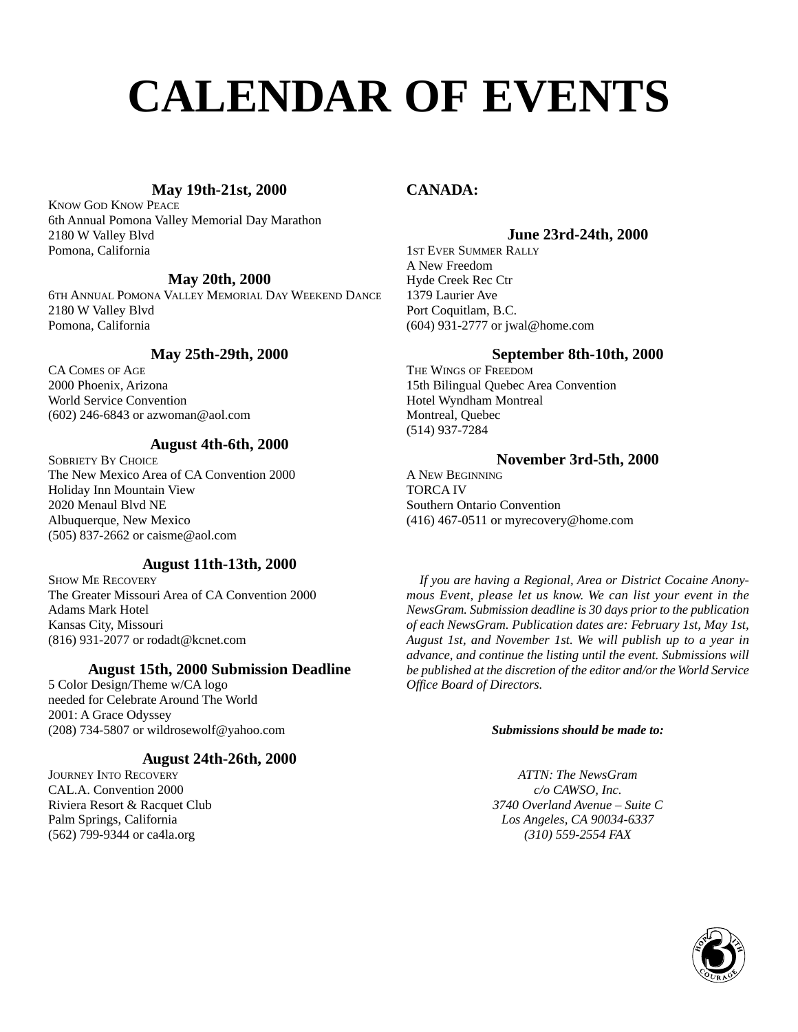# **CALENDAR OF EVENTS**

### **May 19th-21st, 2000**

KNOW GOD KNOW PEACE 6th Annual Pomona Valley Memorial Day Marathon 2180 W Valley Blvd Pomona, California

### **May 20th, 2000**

6TH ANNUAL POMONA VALLEY MEMORIAL DAY WEEKEND DANCE 2180 W Valley Blvd Pomona, California

### **May 25th-29th, 2000**

CA COMES OF AGE 2000 Phoenix, Arizona World Service Convention (602) 246-6843 or azwoman@aol.com

### **August 4th-6th, 2000**

SOBRIETY BY CHOICE The New Mexico Area of CA Convention 2000 Holiday Inn Mountain View 2020 Menaul Blvd NE Albuquerque, New Mexico (505) 837-2662 or caisme@aol.com

### **August 11th-13th, 2000**

SHOW ME RECOVERY The Greater Missouri Area of CA Convention 2000 Adams Mark Hotel Kansas City, Missouri (816) 931-2077 or rodadt@kcnet.com

### **August 15th, 2000 Submission Deadline**

5 Color Design/Theme w/CA logo needed for Celebrate Around The World 2001: A Grace Odyssey (208) 734-5807 or wildrosewolf@yahoo.com

### **August 24th-26th, 2000**

JOURNEY INTO RECOVERY CAL.A. Convention 2000 Riviera Resort & Racquet Club Palm Springs, California (562) 799-9344 or ca4la.org

### **CANADA:**

### **June 23rd-24th, 2000**

1ST EVER SUMMER RALLY A New Freedom Hyde Creek Rec Ctr 1379 Laurier Ave Port Coquitlam, B.C. (604) 931-2777 or jwal@home.com

### **September 8th-10th, 2000**

THE WINGS OF FREEDOM 15th Bilingual Quebec Area Convention Hotel Wyndham Montreal Montreal, Quebec (514) 937-7284

### **November 3rd-5th, 2000**

A NEW BEGINNING TORCA IV Southern Ontario Convention (416) 467-0511 or myrecovery@home.com

*If you are having a Regional, Area or District Cocaine Anonymous Event, please let us know. We can list your event in the NewsGram. Submission deadline is 30 days prior to the publication of each NewsGram. Publication dates are: February 1st, May 1st, August 1st, and November 1st. We will publish up to a year in advance, and continue the listing until the event. Submissions will be published at the discretion of the editor and/or the World Service Office Board of Directors.*

#### *Submissions should be made to:*

*ATTN: The NewsGram c/o CAWSO, Inc. 3740 Overland Avenue – Suite C Los Angeles, CA 90034-6337 (310) 559-2554 FAX* 

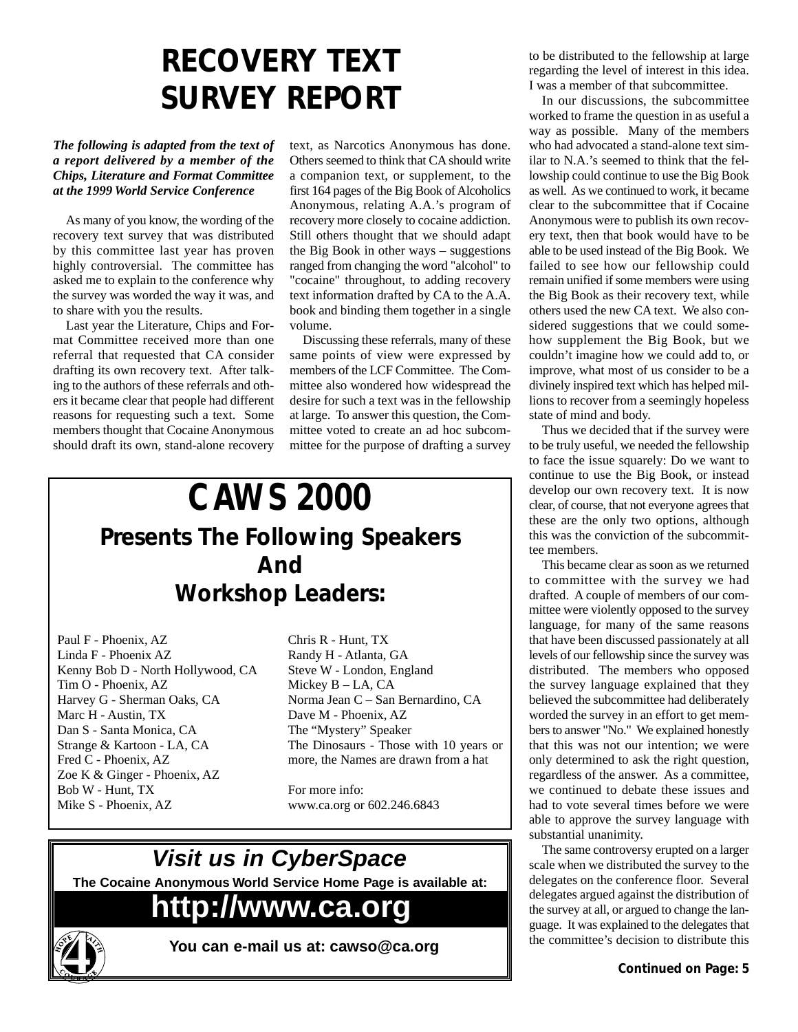# **RECOVERY TEXT SURVEY REPORT**

### *The following is adapted from the text of a report delivered by a member of the Chips, Literature and Format Committee at the 1999 World Service Conference*

As many of you know, the wording of the recovery text survey that was distributed by this committee last year has proven highly controversial. The committee has asked me to explain to the conference why the survey was worded the way it was, and to share with you the results.

Last year the Literature, Chips and Format Committee received more than one referral that requested that CA consider drafting its own recovery text. After talking to the authors of these referrals and others it became clear that people had different reasons for requesting such a text. Some members thought that Cocaine Anonymous should draft its own, stand-alone recovery

text, as Narcotics Anonymous has done. Others seemed to think that CA should write a companion text, or supplement, to the first 164 pages of the Big Book of Alcoholics Anonymous, relating A.A.'s program of recovery more closely to cocaine addiction. Still others thought that we should adapt the Big Book in other ways – suggestions ranged from changing the word "alcohol" to "cocaine" throughout, to adding recovery text information drafted by CA to the A.A. book and binding them together in a single volume.

Discussing these referrals, many of these same points of view were expressed by members of the LCF Committee. The Committee also wondered how widespread the desire for such a text was in the fellowship at large. To answer this question, the Committee voted to create an ad hoc subcommittee for the purpose of drafting a survey

## **CAWS 2000 Presents The Following Speakers And Workshop Leaders:**

Paul F - Phoenix, AZ Linda F - Phoenix AZ Kenny Bob D - North Hollywood, CA Tim O - Phoenix, AZ Harvey G - Sherman Oaks, CA Marc H - Austin, TX Dan S - Santa Monica, CA Strange & Kartoon - LA, CA Fred C - Phoenix, AZ Zoe K & Ginger - Phoenix, AZ Bob W - Hunt, TX Mike S - Phoenix, AZ

Chris R - Hunt, TX Randy H - Atlanta, GA Steve W - London, England Mickey B – LA, CA Norma Jean C – San Bernardino, CA Dave M - Phoenix, AZ The "Mystery" Speaker The Dinosaurs - Those with 10 years or more, the Names are drawn from a hat

For more info: www.ca.org or 602.246.6843

### **Visit us in CyberSpace**

**The Cocaine Anonymous World Service Home Page is available at:**

# **http://www.ca.org**



**You can e-mail us at: cawso@ca.org**

to be distributed to the fellowship at large regarding the level of interest in this idea. I was a member of that subcommittee.

In our discussions, the subcommittee worked to frame the question in as useful a way as possible. Many of the members who had advocated a stand-alone text similar to N.A.'s seemed to think that the fellowship could continue to use the Big Book as well. As we continued to work, it became clear to the subcommittee that if Cocaine Anonymous were to publish its own recovery text, then that book would have to be able to be used instead of the Big Book. We failed to see how our fellowship could remain unified if some members were using the Big Book as their recovery text, while others used the new CA text. We also considered suggestions that we could somehow supplement the Big Book, but we couldn't imagine how we could add to, or improve, what most of us consider to be a divinely inspired text which has helped millions to recover from a seemingly hopeless state of mind and body.

Thus we decided that if the survey were to be truly useful, we needed the fellowship to face the issue squarely: Do we want to continue to use the Big Book, or instead develop our own recovery text. It is now clear, of course, that not everyone agrees that these are the only two options, although this was the conviction of the subcommittee members.

This became clear as soon as we returned to committee with the survey we had drafted. A couple of members of our committee were violently opposed to the survey language, for many of the same reasons that have been discussed passionately at all levels of our fellowship since the survey was distributed. The members who opposed the survey language explained that they believed the subcommittee had deliberately worded the survey in an effort to get members to answer "No." We explained honestly that this was not our intention; we were only determined to ask the right question, regardless of the answer. As a committee, we continued to debate these issues and had to vote several times before we were able to approve the survey language with substantial unanimity.

The same controversy erupted on a larger scale when we distributed the survey to the delegates on the conference floor. Several delegates argued against the distribution of the survey at all, or argued to change the language. It was explained to the delegates that the committee's decision to distribute this **4 Continued on Page:** 5<br> **Pou can e-mail us at: cawso@ca.org**<br> **Example 10 and 20 intervalse the conmittee's decision to distribute this<br>
Continued on Page: 5**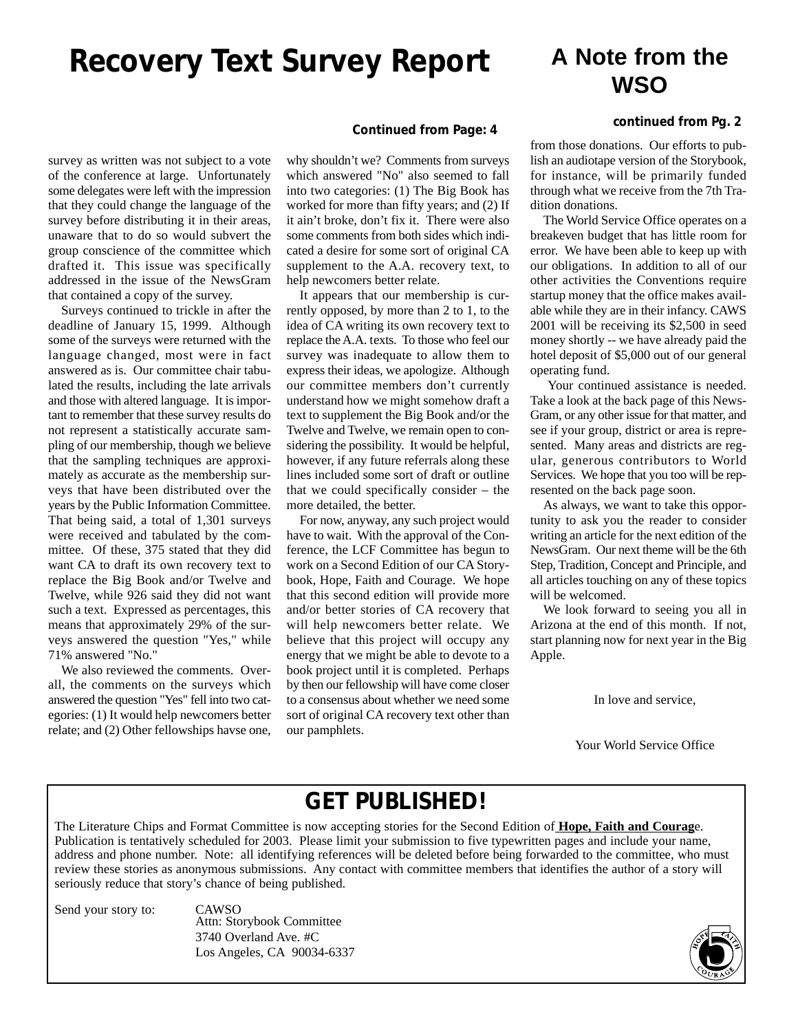## **Recovery Text Survey Report**

### **A Note from the WSO**

### **continued from Pg. 2**

survey as written was not subject to a vote of the conference at large. Unfortunately some delegates were left with the impression that they could change the language of the survey before distributing it in their areas, unaware that to do so would subvert the group conscience of the committee which drafted it. This issue was specifically addressed in the issue of the NewsGram that contained a copy of the survey.

Surveys continued to trickle in after the deadline of January 15, 1999. Although some of the surveys were returned with the language changed, most were in fact answered as is. Our committee chair tabulated the results, including the late arrivals and those with altered language. It is important to remember that these survey results do not represent a statistically accurate sampling of our membership, though we believe that the sampling techniques are approximately as accurate as the membership surveys that have been distributed over the years by the Public Information Committee. That being said, a total of 1,301 surveys were received and tabulated by the committee. Of these, 375 stated that they did want CA to draft its own recovery text to replace the Big Book and/or Twelve and Twelve, while 926 said they did not want such a text. Expressed as percentages, this means that approximately 29% of the surveys answered the question "Yes," while 71% answered "No."

We also reviewed the comments. Overall, the comments on the surveys which answered the question "Yes" fell into two categories: (1) It would help newcomers better relate; and (2) Other fellowships havse one,

#### **Continued from Page: 4**

why shouldn't we? Comments from surveys which answered "No" also seemed to fall into two categories: (1) The Big Book has worked for more than fifty years; and (2) If it ain't broke, don't fix it. There were also some comments from both sides which indicated a desire for some sort of original CA supplement to the A.A. recovery text, to help newcomers better relate.

It appears that our membership is currently opposed, by more than 2 to 1, to the idea of CA writing its own recovery text to replace the A.A. texts. To those who feel our survey was inadequate to allow them to express their ideas, we apologize. Although our committee members don't currently understand how we might somehow draft a text to supplement the Big Book and/or the Twelve and Twelve, we remain open to considering the possibility. It would be helpful, however, if any future referrals along these lines included some sort of draft or outline that we could specifically consider – the more detailed, the better.

For now, anyway, any such project would have to wait. With the approval of the Conference, the LCF Committee has begun to work on a Second Edition of our CA Storybook, Hope, Faith and Courage. We hope that this second edition will provide more and/or better stories of CA recovery that will help newcomers better relate. We believe that this project will occupy any energy that we might be able to devote to a book project until it is completed. Perhaps by then our fellowship will have come closer to a consensus about whether we need some sort of original CA recovery text other than our pamphlets.

from those donations. Our efforts to publish an audiotape version of the Storybook, for instance, will be primarily funded through what we receive from the 7th Tradition donations.

The World Service Office operates on a breakeven budget that has little room for error. We have been able to keep up with our obligations. In addition to all of our other activities the Conventions require startup money that the office makes available while they are in their infancy. CAWS 2001 will be receiving its \$2,500 in seed money shortly -- we have already paid the hotel deposit of \$5,000 out of our general operating fund.

Your continued assistance is needed. Take a look at the back page of this News-Gram, or any other issue for that matter, and see if your group, district or area is represented. Many areas and districts are regular, generous contributors to World Services. We hope that you too will be represented on the back page soon.

As always, we want to take this opportunity to ask you the reader to consider writing an article for the next edition of the NewsGram. Our next theme will be the 6th Step, Tradition, Concept and Principle, and all articles touching on any of these topics will be welcomed.

We look forward to seeing you all in Arizona at the end of this month. If not, start planning now for next year in the Big Apple.

In love and service,

Your World Service Office

### **GET PUBLISHED!**

The Literature Chips and Format Committee is now accepting stories for the Second Edition of **Hope, Faith and Courag**e. Publication is tentatively scheduled for 2003. Please limit your submission to five typewritten pages and include your name, address and phone number. Note: all identifying references will be deleted before being forwarded to the committee, who must review these stories as anonymous submissions. Any contact with committee members that identifies the author of a story will seriously reduce that story's chance of being published.

Send your story to: CAWSO

Attn: Storybook Committee 3740 Overland Ave. #C Los Angeles, CA 90034-6337

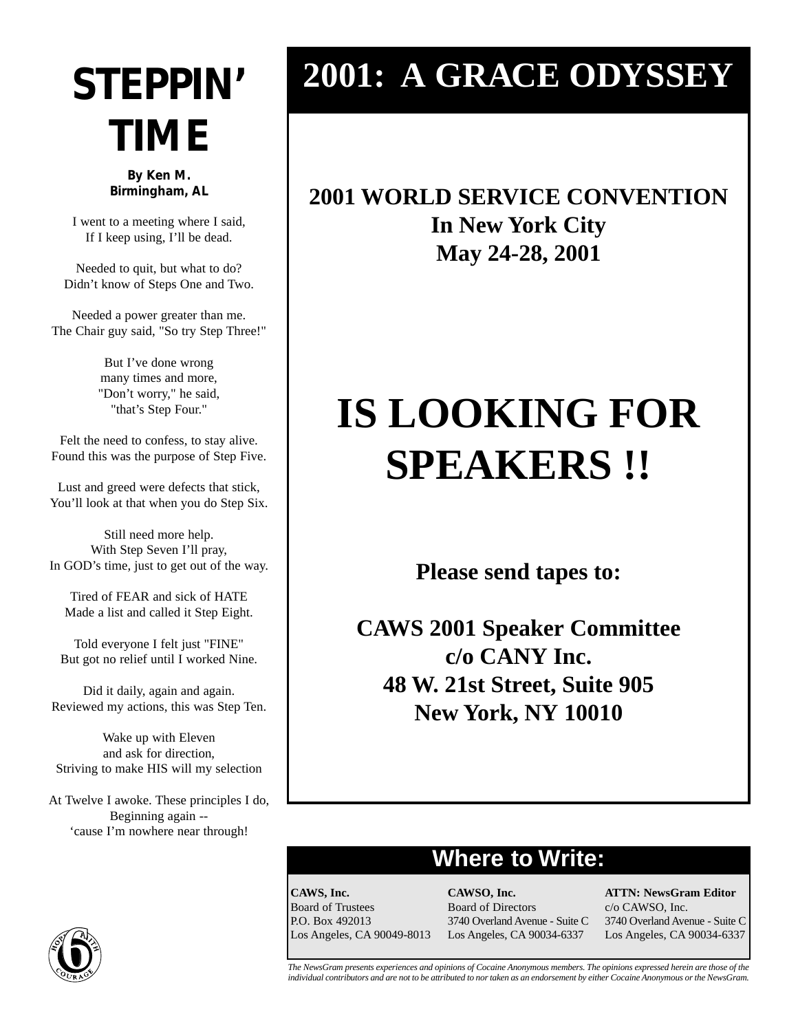# **STEPPIN' TIME**

**By Ken M. Birmingham, AL**

I went to a meeting where I said, If I keep using, I'll be dead.

Needed to quit, but what to do? Didn't know of Steps One and Two.

Needed a power greater than me. The Chair guy said, "So try Step Three!"

> But I've done wrong many times and more, "Don't worry," he said, "that's Step Four."

Felt the need to confess, to stay alive. Found this was the purpose of Step Five.

Lust and greed were defects that stick, You'll look at that when you do Step Six.

Still need more help. With Step Seven I'll pray, In GOD's time, just to get out of the way.

Tired of FEAR and sick of HATE Made a list and called it Step Eight.

Told everyone I felt just "FINE" But got no relief until I worked Nine.

Did it daily, again and again. Reviewed my actions, this was Step Ten.

Wake up with Eleven and ask for direction, Striving to make HIS will my selection

At Twelve I awoke. These principles I do, Beginning again -- 'cause I'm nowhere near through!

# **2001: A GRACE ODYSSEY**

## **2001 WORLD SERVICE CONVENTION In New York City May 24-28, 2001**

# **IS LOOKING FOR SPEAKERS !!**

**Please send tapes to:**

**CAWS 2001 Speaker Committee c/o CANY Inc. 48 W. 21st Street, Suite 905 New York, NY 10010**

### **Where to Write:**

**CAWS, Inc.** Board of Trustees P.O. Box 492013 Los Angeles, CA 90049-8013 **CAWSO, Inc.** Board of Directors 3740 Overland Avenue - Suite C Los Angeles, CA 90034-6337

**ATTN: NewsGram Editor** c/o CAWSO, Inc. 3740 Overland Avenue - Suite C Los Angeles, CA 90034-6337



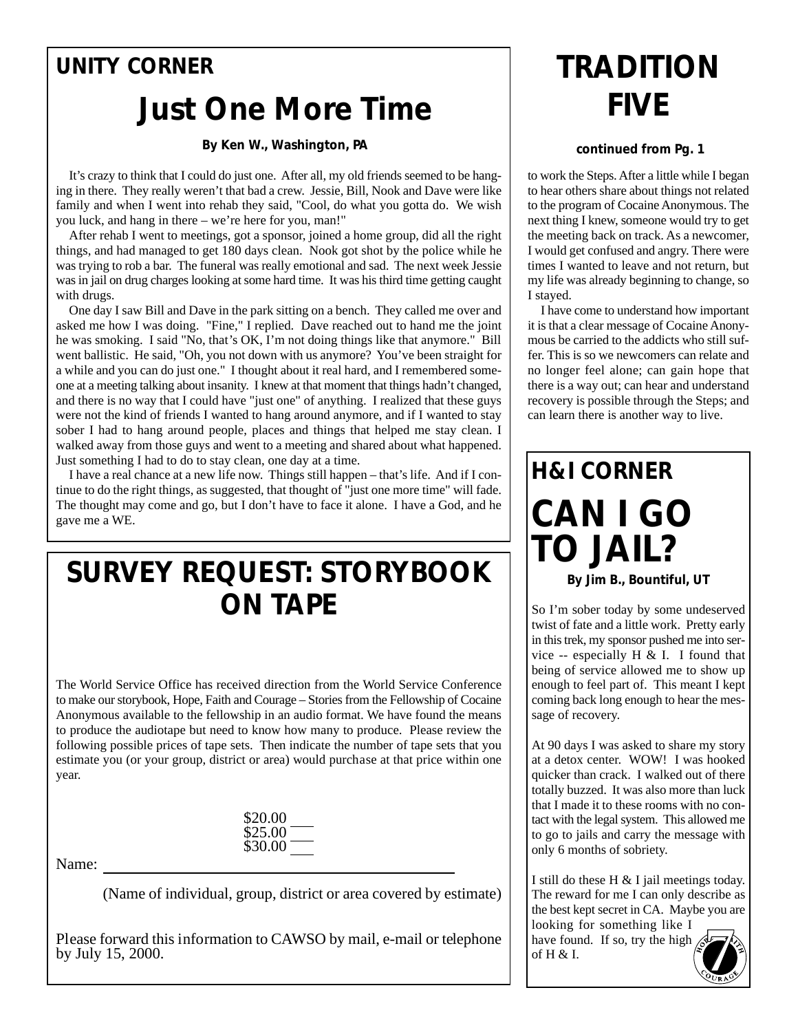### **UNITY CORNER**

# **Just One More Time**

### **By Ken W., Washington, PA**

It's crazy to think that I could do just one. After all, my old friends seemed to be hanging in there. They really weren't that bad a crew. Jessie, Bill, Nook and Dave were like family and when I went into rehab they said, "Cool, do what you gotta do. We wish you luck, and hang in there – we're here for you, man!"

After rehab I went to meetings, got a sponsor, joined a home group, did all the right things, and had managed to get 180 days clean. Nook got shot by the police while he was trying to rob a bar. The funeral was really emotional and sad. The next week Jessie was in jail on drug charges looking at some hard time. It was his third time getting caught with drugs.

One day I saw Bill and Dave in the park sitting on a bench. They called me over and asked me how I was doing. "Fine," I replied. Dave reached out to hand me the joint he was smoking. I said "No, that's OK, I'm not doing things like that anymore." Bill went ballistic. He said, "Oh, you not down with us anymore? You've been straight for a while and you can do just one." I thought about it real hard, and I remembered someone at a meeting talking about insanity. I knew at that moment that things hadn't changed, and there is no way that I could have "just one" of anything. I realized that these guys were not the kind of friends I wanted to hang around anymore, and if I wanted to stay sober I had to hang around people, places and things that helped me stay clean. I walked away from those guys and went to a meeting and shared about what happened. Just something I had to do to stay clean, one day at a time.

I have a real chance at a new life now. Things still happen – that's life. And if I continue to do the right things, as suggested, that thought of "just one more time" will fade. The thought may come and go, but I don't have to face it alone. I have a God, and he gave me a WE.

## **SURVEY REQUEST: STORYBOOK ON TAPE**

The World Service Office has received direction from the World Service Conference to make our storybook, Hope, Faith and Courage – Stories from the Fellowship of Cocaine Anonymous available to the fellowship in an audio format. We have found the means to produce the audiotape but need to know how many to produce. Please review the following possible prices of tape sets. Then indicate the number of tape sets that you estimate you (or your group, district or area) would purchase at that price within one year.

| \$20.00 |  |
|---------|--|
| \$25.00 |  |
| \$30.00 |  |

Name:

(Name of individual, group, district or area covered by estimate)

Please forward this information to CAWSO by mail, e-mail or telephone by July 15, 2000.

# **TRADITION FIVE**

### **continued from Pg. 1**

to work the Steps. After a little while I began to hear others share about things not related to the program of Cocaine Anonymous. The next thing I knew, someone would try to get the meeting back on track. As a newcomer, I would get confused and angry. There were times I wanted to leave and not return, but my life was already beginning to change, so I stayed.

I have come to understand how important it is that a clear message of Cocaine Anonymous be carried to the addicts who still suffer. This is so we newcomers can relate and no longer feel alone; can gain hope that there is a way out; can hear and understand recovery is possible through the Steps; and can learn there is another way to live.

# **H&I CORNER CAN I GO TO JAIL?**

**By Jim B., Bountiful, UT**

So I'm sober today by some undeserved twist of fate and a little work. Pretty early in this trek, my sponsor pushed me into service -- especially H & I. I found that being of service allowed me to show up enough to feel part of. This meant I kept coming back long enough to hear the message of recovery.

At 90 days I was asked to share my story at a detox center. WOW! I was hooked quicker than crack. I walked out of there totally buzzed. It was also more than luck that I made it to these rooms with no contact with the legal system. This allowed me to go to jails and carry the message with only 6 months of sobriety.

I still do these H & I jail meetings today. The reward for me I can only describe as the best kept secret in CA. Maybe you are

looking for something like I have found. If so, try the high  $\mathcal{A}$ of  $H & I.$